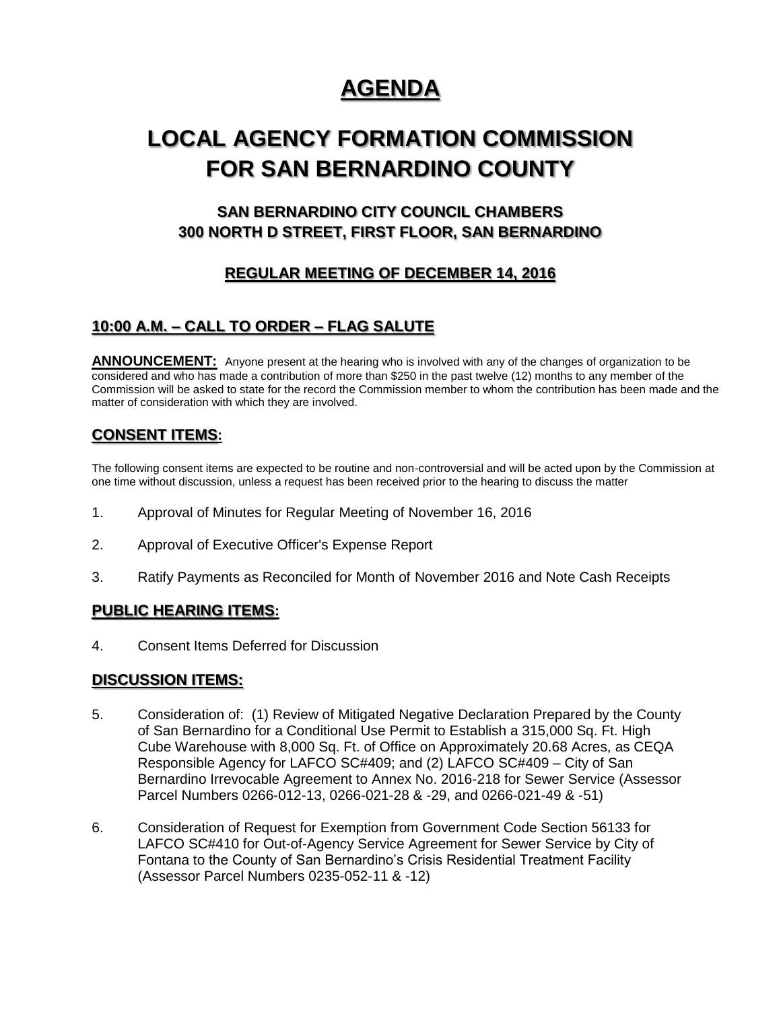# **AGENDA**

# **LOCAL AGENCY FORMATION COMMISSION FOR SAN BERNARDINO COUNTY**

# **SAN BERNARDINO CITY COUNCIL CHAMBERS 300 NORTH D STREET, FIRST FLOOR, SAN BERNARDINO**

# **REGULAR MEETING OF DECEMBER 14, 2016**

## **10:00 A.M. – CALL TO ORDER – FLAG SALUTE**

ANNOUNCEMENT: Anyone present at the hearing who is involved with any of the changes of organization to be considered and who has made a contribution of more than \$250 in the past twelve (12) months to any member of the Commission will be asked to state for the record the Commission member to whom the contribution has been made and the matter of consideration with which they are involved.

## **CONSENT ITEMS:**

The following consent items are expected to be routine and non-controversial and will be acted upon by the Commission at one time without discussion, unless a request has been received prior to the hearing to discuss the matter

- 1. Approval of Minutes for Regular Meeting of November 16, 2016
- 2. Approval of Executive Officer's Expense Report
- 3. Ratify Payments as Reconciled for Month of November 2016 and Note Cash Receipts

### **PUBLIC HEARING ITEMS:**

4. Consent Items Deferred for Discussion

### **DISCUSSION ITEMS:**

- 5. Consideration of: (1) Review of Mitigated Negative Declaration Prepared by the County of San Bernardino for a Conditional Use Permit to Establish a 315,000 Sq. Ft. High Cube Warehouse with 8,000 Sq. Ft. of Office on Approximately 20.68 Acres, as CEQA Responsible Agency for LAFCO SC#409; and (2) LAFCO SC#409 – City of San Bernardino Irrevocable Agreement to Annex No. 2016-218 for Sewer Service (Assessor Parcel Numbers 0266-012-13, 0266-021-28 & -29, and 0266-021-49 & -51)
- 6. Consideration of Request for Exemption from Government Code Section 56133 for LAFCO SC#410 for Out-of-Agency Service Agreement for Sewer Service by City of Fontana to the County of San Bernardino's Crisis Residential Treatment Facility (Assessor Parcel Numbers 0235-052-11 & -12)